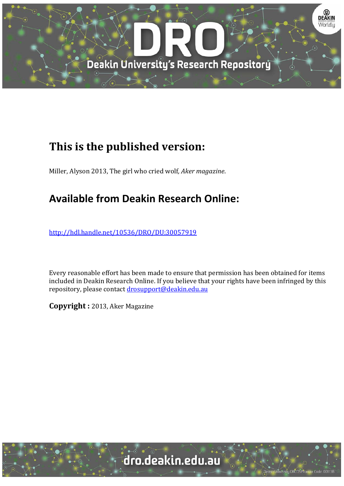

## **This is the published version:**

Miller, Alyson 2013, The girl who cried wolf, *Aker magazine*.

## **Available from Deakin Research Online:**

http://hdl.handle.net/10536/DRO/DU:30057919

Every reasonable effort has been made to ensure that permission has been obtained for items included in Deakin Research Online. If you believe that your rights have been infringed by this repository, please contact drosupport@deakin.edu.au

**Copyright :** 2013, Aker Magazine 

dro.deakin.edu.au

University CRICOS Provider Code: 00113B